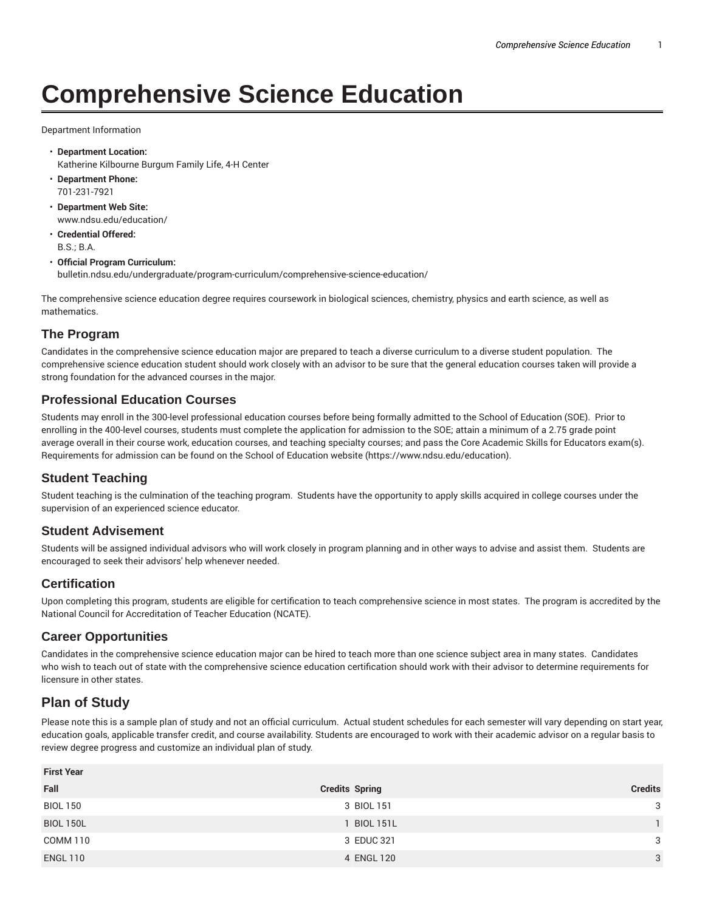# **Comprehensive Science Education**

Department Information

- **Department Location:** Katherine Kilbourne Burgum Family Life, 4-H Center
- **Department Phone:** 701-231-7921
- **Department Web Site:** www.ndsu.edu/education/
- **Credential Offered:** B.S.; B.A.

#### • **Official Program Curriculum:**

bulletin.ndsu.edu/undergraduate/program-curriculum/comprehensive-science-education/

The comprehensive science education degree requires coursework in biological sciences, chemistry, physics and earth science, as well as mathematics.

### **The Program**

Candidates in the comprehensive science education major are prepared to teach a diverse curriculum to a diverse student population. The comprehensive science education student should work closely with an advisor to be sure that the general education courses taken will provide a strong foundation for the advanced courses in the major.

### **Professional Education Courses**

Students may enroll in the 300-level professional education courses before being formally admitted to the School of Education (SOE). Prior to enrolling in the 400-level courses, students must complete the application for admission to the SOE; attain a minimum of a 2.75 grade point average overall in their course work, education courses, and teaching specialty courses; and pass the Core Academic Skills for Educators exam(s). Requirements for admission can be found on the School of Education website (https://www.ndsu.edu/education).

## **Student Teaching**

Student teaching is the culmination of the teaching program. Students have the opportunity to apply skills acquired in college courses under the supervision of an experienced science educator.

#### **Student Advisement**

Students will be assigned individual advisors who will work closely in program planning and in other ways to advise and assist them. Students are encouraged to seek their advisors' help whenever needed.

## **Certification**

Upon completing this program, students are eligible for certification to teach comprehensive science in most states. The program is accredited by the National Council for Accreditation of Teacher Education (NCATE).

#### **Career Opportunities**

Candidates in the comprehensive science education major can be hired to teach more than one science subject area in many states. Candidates who wish to teach out of state with the comprehensive science education certification should work with their advisor to determine requirements for licensure in other states.

## **Plan of Study**

Please note this is a sample plan of study and not an official curriculum. Actual student schedules for each semester will vary depending on start year, education goals, applicable transfer credit, and course availability. Students are encouraged to work with their academic advisor on a regular basis to review degree progress and customize an individual plan of study.

| <b>First Year</b> |                       |                |
|-------------------|-----------------------|----------------|
| Fall              | <b>Credits Spring</b> | <b>Credits</b> |
| <b>BIOL 150</b>   | 3 BIOL 151            | 3              |
| <b>BIOL 150L</b>  | <b>BIOL 151L</b>      |                |
| COMM 110          | 3 EDUC 321            | 3              |
| <b>ENGL 110</b>   | 4 ENGL 120            | 3              |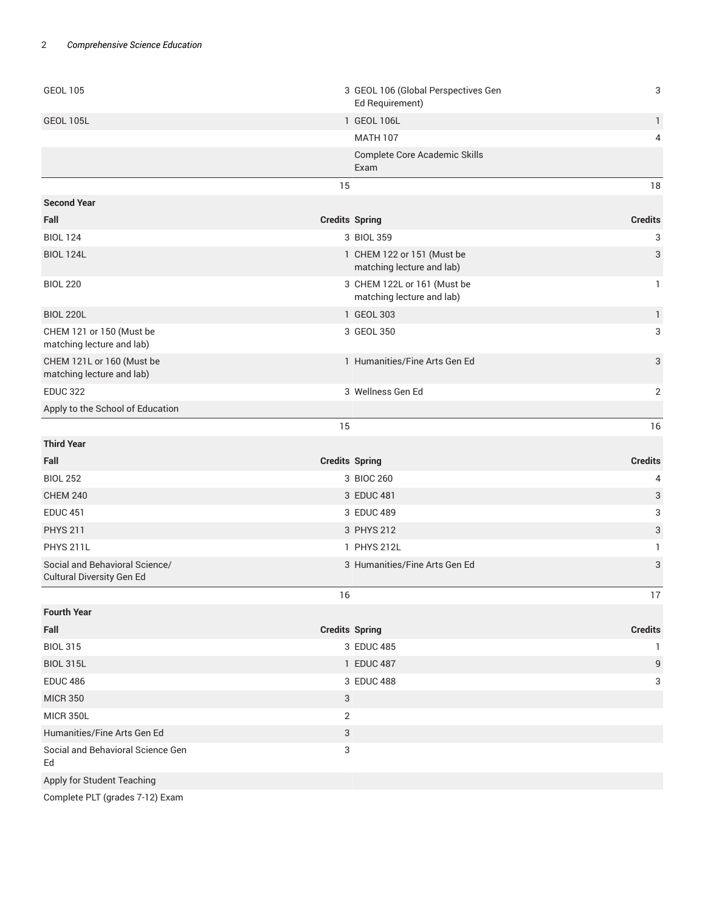| <b>GEOL 105</b>                                             | 3 GEOL 106 (Global Perspectives Gen<br>Ed Requirement)   | 3              |  |
|-------------------------------------------------------------|----------------------------------------------------------|----------------|--|
| <b>GEOL 105L</b>                                            | 1 GEOL 106L                                              | $\mathbf{1}$   |  |
|                                                             | <b>MATH 107</b>                                          | 4              |  |
|                                                             | Complete Core Academic Skills<br>Exam                    |                |  |
|                                                             | 15                                                       | 18             |  |
| <b>Second Year</b>                                          |                                                          |                |  |
| Fall                                                        | <b>Credits Spring</b>                                    | <b>Credits</b> |  |
| <b>BIOL 124</b>                                             | 3 BIOL 359                                               | 3              |  |
| <b>BIOL 124L</b>                                            | 1 CHEM 122 or 151 (Must be<br>matching lecture and lab)  | 3              |  |
| <b>BIOL 220</b>                                             | 3 CHEM 122L or 161 (Must be<br>matching lecture and lab) | 1              |  |
| <b>BIOL 220L</b>                                            | 1 GEOL 303                                               | $\mathbf{1}$   |  |
| CHEM 121 or 150 (Must be<br>matching lecture and lab)       | 3 GEOL 350                                               | 3              |  |
| CHEM 121L or 160 (Must be<br>matching lecture and lab)      | 1 Humanities/Fine Arts Gen Ed                            | 3              |  |
| <b>EDUC 322</b>                                             | 3 Wellness Gen Ed                                        | 2              |  |
| Apply to the School of Education                            |                                                          |                |  |
|                                                             | 15                                                       | 16             |  |
| <b>Third Year</b>                                           |                                                          |                |  |
| Fall                                                        | <b>Credits Spring</b>                                    | <b>Credits</b> |  |
| <b>BIOL 252</b>                                             | 3 BIOC 260                                               | 4              |  |
| <b>CHEM 240</b>                                             | 3 EDUC 481                                               | 3              |  |
| <b>EDUC 451</b>                                             | 3 EDUC 489                                               | 3              |  |
| <b>PHYS 211</b>                                             | 3 PHYS 212                                               | 3              |  |
| <b>PHYS 211L</b>                                            | 1 PHYS 212L                                              | 1              |  |
| Social and Behavioral Science/<br>Cultural Diversity Gen Ed | 3 Humanities/Fine Arts Gen Ed                            | 3              |  |
|                                                             | 16                                                       | $17\,$         |  |
| <b>Fourth Year</b>                                          |                                                          |                |  |
| Fall                                                        | <b>Credits Spring</b>                                    | <b>Credits</b> |  |
| <b>BIOL 315</b>                                             | 3 EDUC 485                                               | -1             |  |
| <b>BIOL 315L</b>                                            | 1 EDUC 487                                               | 9              |  |
| <b>EDUC 486</b>                                             | 3 EDUC 488                                               | 3              |  |
| <b>MICR 350</b>                                             | 3                                                        |                |  |
| <b>MICR 350L</b>                                            | $\overline{2}$                                           |                |  |
| Humanities/Fine Arts Gen Ed                                 | 3                                                        |                |  |
| Social and Behavioral Science Gen<br>Ed                     | 3                                                        |                |  |
| Apply for Student Teaching                                  |                                                          |                |  |
|                                                             |                                                          |                |  |

Complete PLT (grades 7-12) Exam